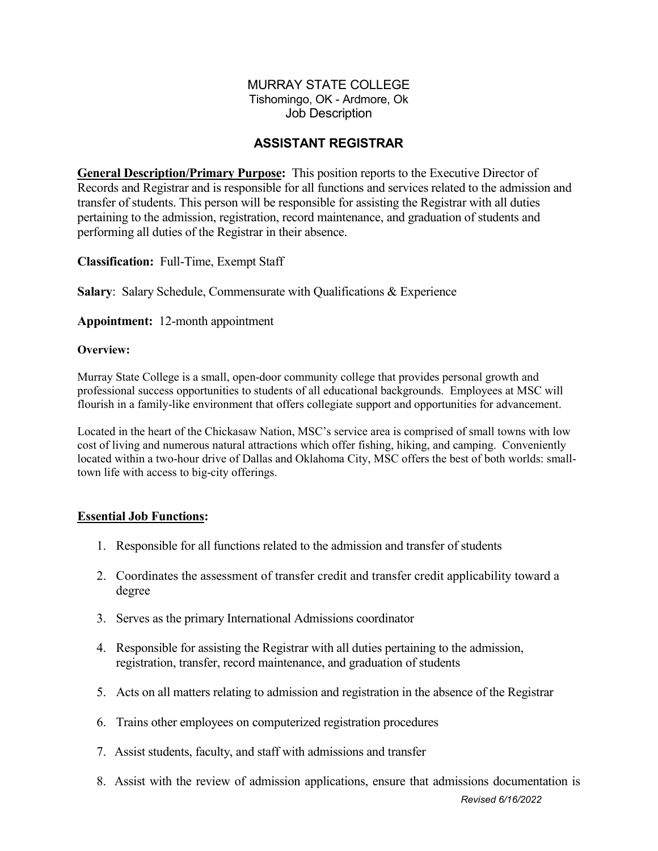#### MURRAY STATE COLLEGE Tishomingo, OK - Ardmore, Ok Job Description

## **ASSISTANT REGISTRAR**

**General Description/Primary Purpose:** This position reports to the Executive Director of Records and Registrar and is responsible for all functions and services related to the admission and transfer of students. This person will be responsible for assisting the Registrar with all duties pertaining to the admission, registration, record maintenance, and graduation of students and performing all duties of the Registrar in their absence.

**Classification:** Full-Time, Exempt Staff

**Salary:** Salary Schedule, Commensurate with Qualifications & Experience

**Appointment:** 12-month appointment

#### **Overview:**

Murray State College is a small, open-door community college that provides personal growth and professional success opportunities to students of all educational backgrounds. Employees at MSC will flourish in a family-like environment that offers collegiate support and opportunities for advancement.

Located in the heart of the Chickasaw Nation, MSC's service area is comprised of small towns with low cost of living and numerous natural attractions which offer fishing, hiking, and camping. Conveniently located within a two-hour drive of Dallas and Oklahoma City, MSC offers the best of both worlds: smalltown life with access to big-city offerings.

### **Essential Job Functions:**

- 1. Responsible for all functions related to the admission and transfer of students
- 2. Coordinates the assessment of transfer credit and transfer credit applicability toward a degree
- 3. Serves as the primary International Admissions coordinator
- 4. Responsible for assisting the Registrar with all duties pertaining to the admission, registration, transfer, record maintenance, and graduation of students
- 5. Acts on all matters relating to admission and registration in the absence of the Registrar
- 6. Trains other employees on computerized registration procedures
- 7. Assist students, faculty, and staff with admissions and transfer
- 8. Assist with the review of admission applications, ensure that admissions documentation is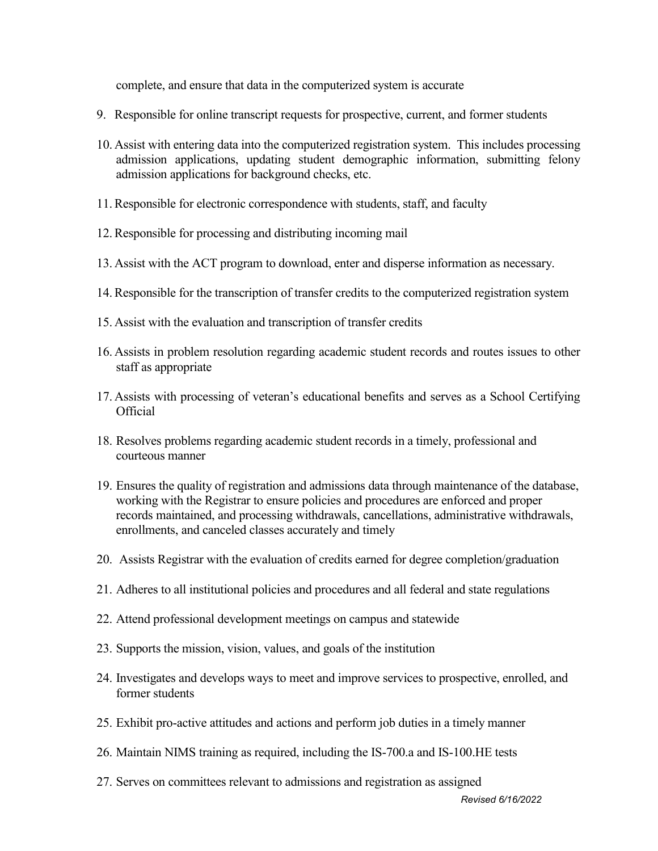complete, and ensure that data in the computerized system is accurate

- 9. Responsible for online transcript requests for prospective, current, and former students
- 10. Assist with entering data into the computerized registration system. This includes processing admission applications, updating student demographic information, submitting felony admission applications for background checks, etc.
- 11.Responsible for electronic correspondence with students, staff, and faculty
- 12.Responsible for processing and distributing incoming mail
- 13. Assist with the ACT program to download, enter and disperse information as necessary.
- 14.Responsible for the transcription of transfer credits to the computerized registration system
- 15. Assist with the evaluation and transcription of transfer credits
- 16. Assists in problem resolution regarding academic student records and routes issues to other staff as appropriate
- 17. Assists with processing of veteran's educational benefits and serves as a School Certifying Official
- 18. Resolves problems regarding academic student records in a timely, professional and courteous manner
- 19. Ensures the quality of registration and admissions data through maintenance of the database, working with the Registrar to ensure policies and procedures are enforced and proper records maintained, and processing withdrawals, cancellations, administrative withdrawals, enrollments, and canceled classes accurately and timely
- 20. Assists Registrar with the evaluation of credits earned for degree completion/graduation
- 21. Adheres to all institutional policies and procedures and all federal and state regulations
- 22. Attend professional development meetings on campus and statewide
- 23. Supports the mission, vision, values, and goals of the institution
- 24. Investigates and develops ways to meet and improve services to prospective, enrolled, and former students
- 25. Exhibit pro-active attitudes and actions and perform job duties in a timely manner
- 26. Maintain NIMS training as required, including the IS-700.a and IS-100.HE tests
- 27. Serves on committees relevant to admissions and registration as assigned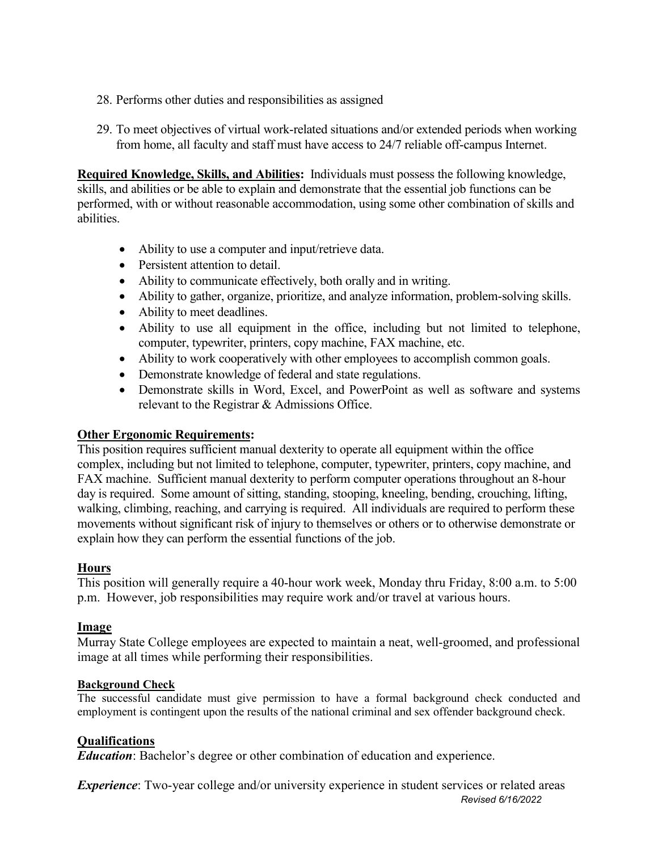- 28. Performs other duties and responsibilities as assigned
- 29. To meet objectives of virtual work-related situations and/or extended periods when working from home, all faculty and staff must have access to 24/7 reliable off-campus Internet.

**Required Knowledge, Skills, and Abilities:** Individuals must possess the following knowledge, skills, and abilities or be able to explain and demonstrate that the essential job functions can be performed, with or without reasonable accommodation, using some other combination of skills and abilities.

- Ability to use a computer and input/retrieve data.
- Persistent attention to detail.
- Ability to communicate effectively, both orally and in writing.
- Ability to gather, organize, prioritize, and analyze information, problem-solving skills.
- Ability to meet deadlines.
- Ability to use all equipment in the office, including but not limited to telephone, computer, typewriter, printers, copy machine, FAX machine, etc.
- Ability to work cooperatively with other employees to accomplish common goals.
- Demonstrate knowledge of federal and state regulations.
- Demonstrate skills in Word, Excel, and PowerPoint as well as software and systems relevant to the Registrar & Admissions Office.

### **Other Ergonomic Requirements:**

This position requires sufficient manual dexterity to operate all equipment within the office complex, including but not limited to telephone, computer, typewriter, printers, copy machine, and FAX machine. Sufficient manual dexterity to perform computer operations throughout an 8-hour day is required. Some amount of sitting, standing, stooping, kneeling, bending, crouching, lifting, walking, climbing, reaching, and carrying is required. All individuals are required to perform these movements without significant risk of injury to themselves or others or to otherwise demonstrate or explain how they can perform the essential functions of the job.

### **Hours**

This position will generally require a 40-hour work week, Monday thru Friday, 8:00 a.m. to 5:00 p.m. However, job responsibilities may require work and/or travel at various hours.

### **Image**

Murray State College employees are expected to maintain a neat, well-groomed, and professional image at all times while performing their responsibilities.

### **Background Check**

The successful candidate must give permission to have a formal background check conducted and employment is contingent upon the results of the national criminal and sex offender background check.

### **Qualifications**

*Education*: Bachelor's degree or other combination of education and experience.

*Revised 6/16/2022 Experience*: Two-year college and/or university experience in student services or related areas